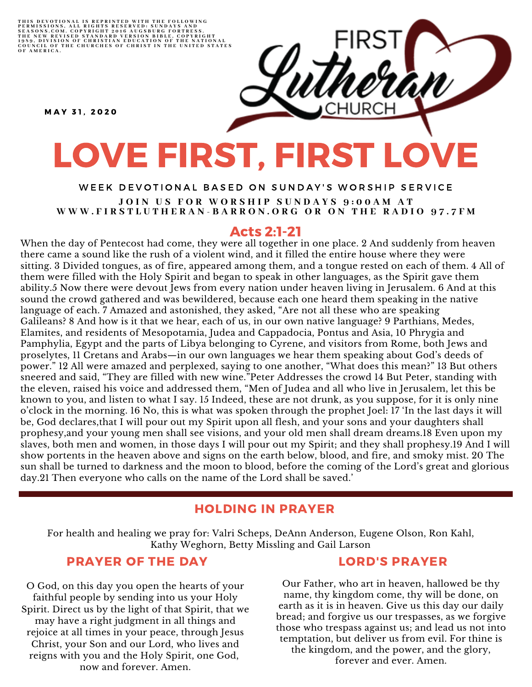THIS DEVOTIONAL IS REPRINTED WITH THE FOLLOWING<br>PERMISSIONS, ALL RIGHTS RESERVED: SUNDAYS AND<br>SEASONS.COM. COPYRIGHT 2016 AUGSBURG FORTRESS.<br>THE NEW REVISED STANDARD VERSION BIBLE, COPYRIGHT<br>1959, DIVISION OF CHRISTIAN EDU

M A Y 3 1 , 2 0 2 0

# LOVE FIRST, FIRST LOVE

#### WEEK DEVOTIONAL BASED ON SUNDAY'S WORSHIP SERVICE JOIN US FOR WORSHIP SUNDAYS 9:00AM AT WWW.FIRSTLUTHERAN-BARRON.ORG OR ON THE RADIO 97.7FM

## Acts 2:1-21

When the day of Pentecost had come, they were all together in one place. 2 And suddenly from heaven there came a sound like the rush of a violent wind, and it filled the entire house where they were sitting. 3 Divided tongues, as of fire, appeared among them, and a tongue rested on each of them. 4 All of them were filled with the Holy Spirit and began to speak in other languages, as the Spirit gave them ability.5 Now there were devout Jews from every nation under heaven living in Jerusalem. 6 And at this sound the crowd gathered and was bewildered, because each one heard them speaking in the native language of each. 7 Amazed and astonished, they asked, "Are not all these who are speaking Galileans? 8 And how is it that we hear, each of us, in our own native language? 9 Parthians, Medes, Elamites, and residents of Mesopotamia, Judea and Cappadocia, Pontus and Asia, 10 Phrygia and Pamphylia, Egypt and the parts of Libya belonging to Cyrene, and visitors from Rome, both Jews and proselytes, 11 Cretans and Arabs—in our own languages we hear them speaking about God's deeds of power." 12 All were amazed and perplexed, saying to one another, "What does this mean?" 13 But others sneered and said, "They are filled with new wine."Peter Addresses the crowd 14 But Peter, standing with the eleven, raised his voice and addressed them, "Men of Judea and all who live in Jerusalem, let this be known to you, and listen to what I say. 15 Indeed, these are not drunk, as you suppose, for it is only nine o'clock in the morning. 16 No, this is what was spoken through the prophet Joel: 17 'In the last days it will be, God declares,that I will pour out my Spirit upon all flesh, and your sons and your daughters shall prophesy,and your young men shall see visions, and your old men shall dream dreams.18 Even upon my slaves, both men and women, in those days I will pour out my Spirit; and they shall prophesy.19 And I will show portents in the heaven above and signs on the earth below, blood, and fire, and smoky mist. 20 The sun shall be turned to darkness and the moon to blood, before the coming of the Lord's great and glorious day.21 Then everyone who calls on the name of the Lord shall be saved.'

#### HOLDING IN PRAYER

For health and healing we pray for: Valri Scheps, DeAnn Anderson, Eugene Olson, Ron Kahl, Kathy Weghorn, Betty Missling and Gail Larson

## PRAYER OF THE DAY

O God, on this day you open the hearts of your faithful people by sending into us your Holy Spirit. Direct us by the light of that Spirit, that we may have a right judgment in all things and rejoice at all times in your peace, through Jesus Christ, your Son and our Lord, who lives and reigns with you and the Holy Spirit, one God, now and forever. Amen.

#### LORD'S PRAYER

Our Father, who art in heaven, hallowed be thy name, thy kingdom come, thy will be done, on earth as it is in heaven. Give us this day our daily bread; and forgive us our trespasses, as we forgive those who trespass against us; and lead us not into temptation, but deliver us from evil. For thine is the kingdom, and the power, and the glory, forever and ever. Amen.